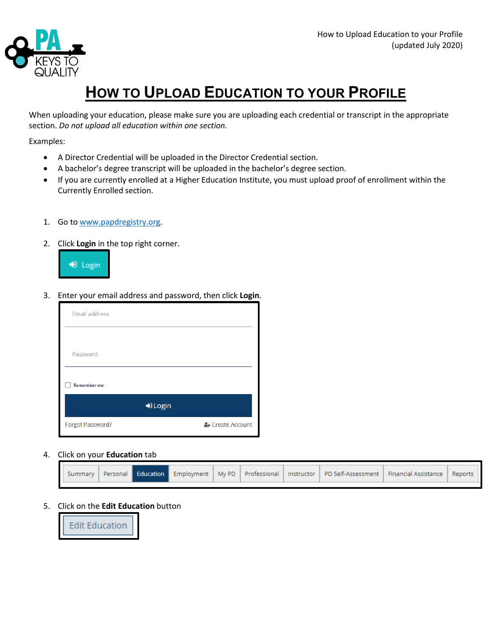

## **HOW TO UPLOAD EDUCATION TO YOUR PROFILE**

When uploading your education, please make sure you are uploading each credential or transcript in the appropriate section. *Do not upload all education within one section.*

Examples:

- A Director Credential will be uploaded in the Director Credential section.
- A bachelor's degree transcript will be uploaded in the bachelor's degree section.
- If you are currently enrolled at a Higher Education Institute, you must upload proof of enrollment within the Currently Enrolled section.
- 1. Go to [www.papdregistry.org.](http://www.papdregistry.org/)
- 2. Click **Login** in the top right corner.



3. Enter your email address and password, then click **Login**.

| <b>Email address</b> |                  |
|----------------------|------------------|
|                      |                  |
| Password             |                  |
| Remember me          |                  |
| D Login              |                  |
| Forgot Password?     | & Create Account |

## 4. Click on your **Education** tab

|  |  |  |  |  |  |  |  | Summary Personal Education Employment My PD Professional Instructor PD Self-Assessment Financial Assistance Reports |  |  |
|--|--|--|--|--|--|--|--|---------------------------------------------------------------------------------------------------------------------|--|--|
|--|--|--|--|--|--|--|--|---------------------------------------------------------------------------------------------------------------------|--|--|

## 5. Click on the **Edit Education** button

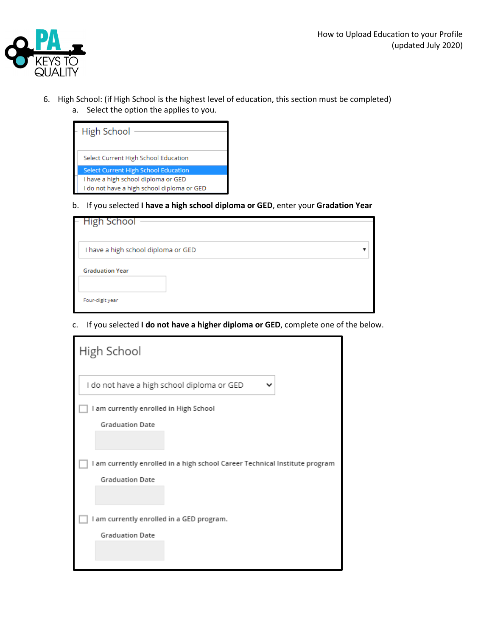

- 6. High School: (if High School is the highest level of education, this section must be completed)
	- a. Select the option the applies to you.

| <b>High School</b>                          |
|---------------------------------------------|
| Select Current High School Education        |
| <b>Select Current High School Education</b> |
| I have a high school diploma or GED         |
| I do not have a high school diploma or GED  |

b. If you selected **I have a high school diploma or GED**, enter your **Gradation Year**

| – High School                             |  |
|-------------------------------------------|--|
| I have a high school diploma or GED       |  |
| <b>Graduation Year</b><br>Four-digit year |  |

c. If you selected **I do not have a higher diploma or GED**, complete one of the below.

| High School                                                                 |
|-----------------------------------------------------------------------------|
| I do not have a high school diploma or GED<br>v                             |
| I am currently enrolled in High School                                      |
| <b>Graduation Date</b>                                                      |
|                                                                             |
| I am currently enrolled in a high school Career Technical Institute program |
| <b>Graduation Date</b>                                                      |
|                                                                             |
| I am currently enrolled in a GED program.                                   |
| <b>Graduation Date</b>                                                      |
|                                                                             |
|                                                                             |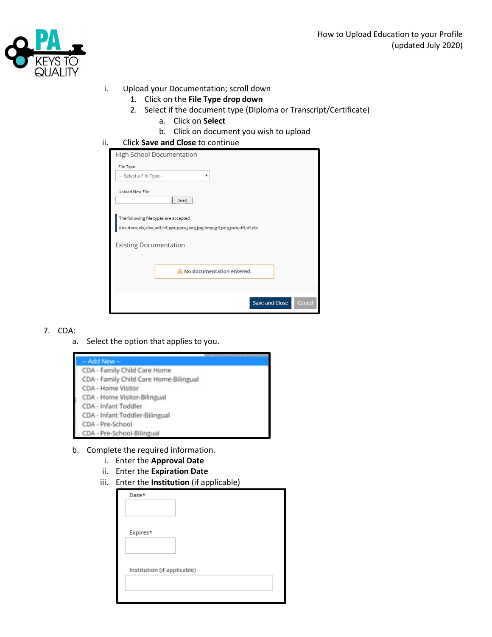

- i. Upload your Documentation; scroll down
	- 1. Click on the **File Type drop down**
		- 2. Select if the document type (Diploma or Transcript/Certificate)
			- a. Click on **Select**
			- b. Click on document you wish to upload
- ii. Click **Save and Close** to continue

| High School Documentation                                                                                                                |
|------------------------------------------------------------------------------------------------------------------------------------------|
| File Type                                                                                                                                |
| -- Select a File Type --<br>$\overline{\mathbf{v}}$                                                                                      |
| <b>Upload New File</b><br>,,,,,,,,,,,,,,,,,,,,,,,,,,,,                                                                                   |
| Select                                                                                                                                   |
| The following file types are accepted                                                                                                    |
| $\texttt{doc,docx,xls,xlsx,pdf,rtf,ppt,ppt,}\texttt{jpeg.jpg,}\texttt{bmp,gff,}\texttt{png,pub,}\texttt{tiff,}\texttt{tif,}\texttt{zip}$ |
| <b>Existing Documentation</b>                                                                                                            |
|                                                                                                                                          |
| A No documentation entered.                                                                                                              |
|                                                                                                                                          |
|                                                                                                                                          |
| <b>Save and Close</b><br>Cancel                                                                                                          |
|                                                                                                                                          |

## 7. CDA:

a. Select the option that applies to you.

| - Add New -                            |  |
|----------------------------------------|--|
| CDA - Family Child Care Home           |  |
| CDA - Family Child Care Home-Bilingual |  |
| CDA - Home Visitor                     |  |
| CDA - Home Visitor-Bilingual           |  |
| CDA - Infant Toddler                   |  |
| CDA - Infant Toddler-Bilingual         |  |
| CDA - Pre-School                       |  |
| CDA - Pre-School-Bilingual             |  |

- b. Complete the required information.
	- i. Enter the **Approval Date**
		- ii. Enter the **Expiration Date**
	- iii. Enter the **Institution** (if applicable)

| Date*                       |  |  |
|-----------------------------|--|--|
| Expires*                    |  |  |
| Institution (if applicable) |  |  |
|                             |  |  |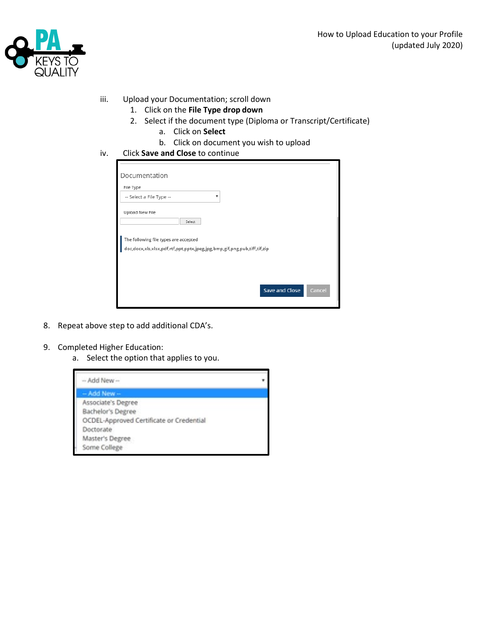

- iii. Upload your Documentation; scroll down
	- 1. Click on the **File Type drop down**
	- 2. Select if the document type (Diploma or Transcript/Certificate)
		- a. Click on **Select**
		- b. Click on document you wish to upload
- iv. Click **Save and Close** to continue

| File Type                             |                                                                          |  |
|---------------------------------------|--------------------------------------------------------------------------|--|
| -- Select a File Type --              | v                                                                        |  |
| Upload New File                       |                                                                          |  |
|                                       | Select                                                                   |  |
|                                       |                                                                          |  |
|                                       |                                                                          |  |
|                                       |                                                                          |  |
| The following file types are accepted | doc,docx,xls,xlsx,pdf,rtf,ppt,pptx,jpeg,jpg,bmp,gif,png,pub,tiff,tif,zip |  |
|                                       |                                                                          |  |
|                                       |                                                                          |  |
|                                       |                                                                          |  |

- 8. Repeat above step to add additional CDA's.
- 9. Completed Higher Education:
	- a. Select the option that applies to you.

| -- Add New --                            |  |
|------------------------------------------|--|
| - Add New -                              |  |
| Associate's Degree                       |  |
| Bachelor's Degree                        |  |
| OCDEL-Approved Certificate or Credential |  |
| Doctorate                                |  |
| Master's Degree                          |  |
| Some College                             |  |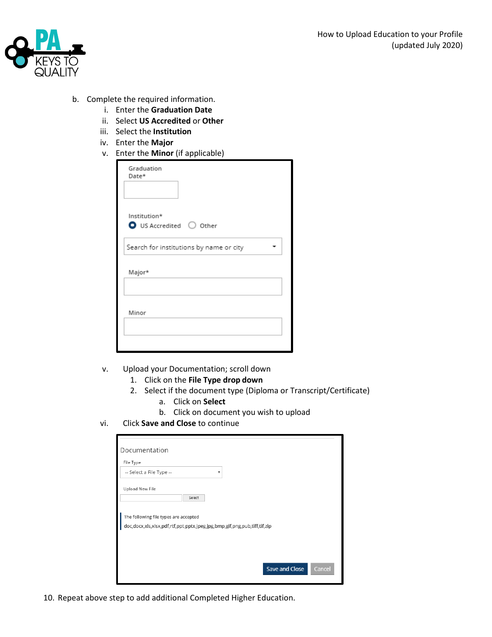

- b. Complete the required information.
	- i. Enter the **Graduation Date**
	- ii. Select **US Accredited** or **Other**
	- iii. Select the **Institution**
	- iv. Enter the **Major**
	- v. Enter the **Minor** (if applicable)

| Graduation<br>Date* |                                         |  |
|---------------------|-----------------------------------------|--|
| Institution*        | $\bullet$ US Accredited $\circ$ Other   |  |
|                     | Search for institutions by name or city |  |
| Major*              |                                         |  |
| Minor               |                                         |  |
|                     |                                         |  |

- v. Upload your Documentation; scroll down
	- 1. Click on the **File Type drop down**
	- 2. Select if the document type (Diploma or Transcript/Certificate)
		- a. Click on **Select**
		- b. Click on document you wish to upload
- vi. Click **Save and Close** to continue

| Documentation                                                            |        |
|--------------------------------------------------------------------------|--------|
| File Type                                                                |        |
| -- Select a File Type --<br>۰                                            |        |
| Upload New File                                                          |        |
| Select                                                                   |        |
|                                                                          |        |
| The following file types are accepted                                    |        |
| doc,docx,xls,xlsx,pdf,rtf,ppt,pptx,jpeg,jpg,bmp,gif,png,pub,tiff,tif,zip |        |
|                                                                          |        |
|                                                                          |        |
|                                                                          |        |
| <b>Save and Close</b>                                                    | Cancel |
|                                                                          |        |

10. Repeat above step to add additional Completed Higher Education.